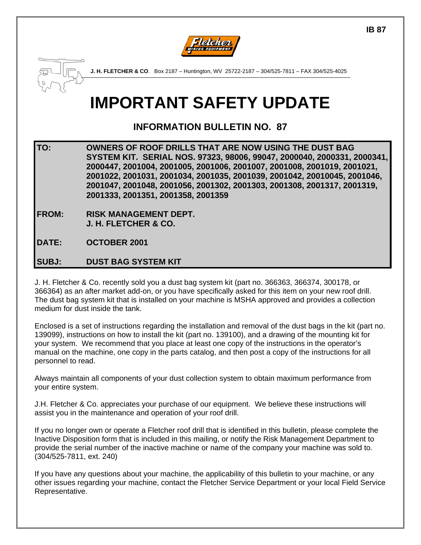



**J. H. FLETCHER & CO**. Box 2187 – Huntington, WV 25722-2187 – 304/525-7811 – FAX 304/525-4025

# **IMPORTANT SAFETY UPDATE**

## **INFORMATION BULLETIN NO. 87**

**TO: OWNERS OF ROOF DRILLS THAT ARE NOW USING THE DUST BAG SYSTEM KIT. SERIAL NOS. 97323, 98006, 99047, 2000040, 2000331, 2000341, 2000447, 2001004, 2001005, 2001006, 2001007, 2001008, 2001019, 2001021, 2001022, 2001031, 2001034, 2001035, 2001039, 2001042, 20010045, 2001046, 2001047, 2001048, 2001056, 2001302, 2001303, 2001308, 2001317, 2001319, 2001333, 2001351, 2001358, 2001359** 

**FROM: RISK MANAGEMENT DEPT. J. H. FLETCHER & CO.** 

**DATE: OCTOBER 2001** 

#### **SUBJ: DUST BAG SYSTEM KIT**

J. H. Fletcher & Co. recently sold you a dust bag system kit (part no. 366363, 366374, 300178, or 366364) as an after market add-on, or you have specifically asked for this item on your new roof drill. The dust bag system kit that is installed on your machine is MSHA approved and provides a collection medium for dust inside the tank.

Enclosed is a set of instructions regarding the installation and removal of the dust bags in the kit (part no. 139099), instructions on how to install the kit (part no. 139100), and a drawing of the mounting kit for your system. We recommend that you place at least one copy of the instructions in the operator's manual on the machine, one copy in the parts catalog, and then post a copy of the instructions for all personnel to read.

Always maintain all components of your dust collection system to obtain maximum performance from your entire system.

J.H. Fletcher & Co. appreciates your purchase of our equipment. We believe these instructions will assist you in the maintenance and operation of your roof drill.

If you no longer own or operate a Fletcher roof drill that is identified in this bulletin, please complete the Inactive Disposition form that is included in this mailing, or notify the Risk Management Department to provide the serial number of the inactive machine or name of the company your machine was sold to. (304/525-7811, ext. 240)

If you have any questions about your machine, the applicability of this bulletin to your machine, or any other issues regarding your machine, contact the Fletcher Service Department or your local Field Service Representative.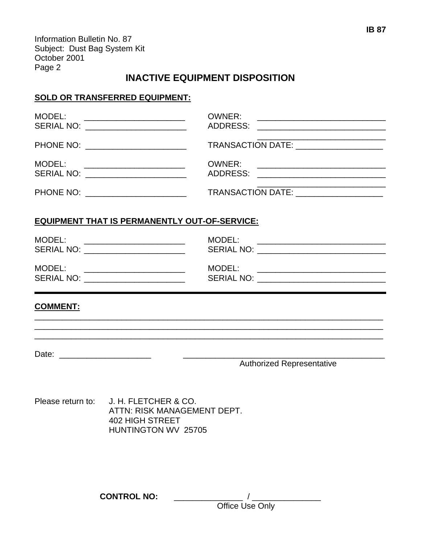Information Bulletin No. 87 Subject: Dust Bag System Kit October 2001 Page 2

## **INACTIVE EQUIPMENT DISPOSITION**

#### **SOLD OR TRANSFERRED EQUIPMENT:**

| MODEL:                                                                                                                 | <u> 1989 - Johann John Stein, fransk politik (</u> |               |                                                                                                                |  |
|------------------------------------------------------------------------------------------------------------------------|----------------------------------------------------|---------------|----------------------------------------------------------------------------------------------------------------|--|
| PHONE NO: _________________________                                                                                    |                                                    |               | TRANSACTION DATE: ____________________                                                                         |  |
| MODEL:<br>SERIAL NO: _______________________                                                                           | <u> 1989 - Andrea Brand, amerikansk politik (</u>  | <b>OWNER:</b> | <u> 1980 - Jan James James Barnett, fransk politik (d. 1980)</u><br>ADDRESS: _________________________________ |  |
| PHONE NO: _________________________                                                                                    |                                                    |               | TRANSACTION DATE: ___________________                                                                          |  |
| <b>EQUIPMENT THAT IS PERMANENTLY OUT-OF-SERVICE:</b>                                                                   |                                                    |               |                                                                                                                |  |
| MODEL:<br>SERIAL NO: _______________________                                                                           | <u> 1980 - Andrea Andrew Maria (h. 1980).</u>      | MODEL:        | SERIAL NO: __________________________________                                                                  |  |
| MODEL:<br>SERIAL NO: _________________________                                                                         |                                                    | MODEL:        | SERIAL NO: ________________________________                                                                    |  |
| <b>COMMENT:</b>                                                                                                        |                                                    |               |                                                                                                                |  |
|                                                                                                                        |                                                    |               |                                                                                                                |  |
|                                                                                                                        |                                                    |               | <b>Authorized Representative</b>                                                                               |  |
| Please return to: J. H. FLETCHER & CO.<br>ATTN: RISK MANAGEMENT DEPT.<br><b>402 HIGH STREET</b><br>HUNTINGTON WV 25705 |                                                    |               |                                                                                                                |  |
|                                                                                                                        | <b>CONTROL NO:</b>                                 |               |                                                                                                                |  |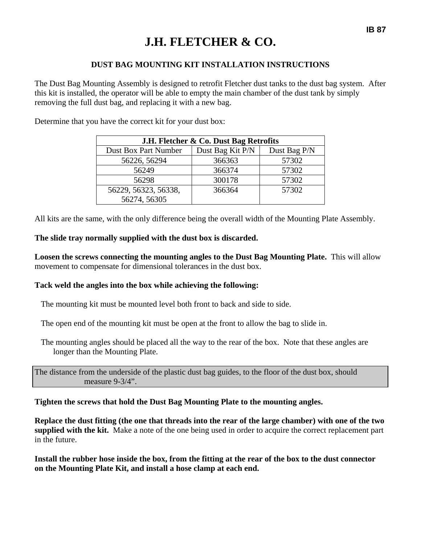# **J.H. FLETCHER & CO.**

#### **DUST BAG MOUNTING KIT INSTALLATION INSTRUCTIONS**

The Dust Bag Mounting Assembly is designed to retrofit Fletcher dust tanks to the dust bag system. After this kit is installed, the operator will be able to empty the main chamber of the dust tank by simply removing the full dust bag, and replacing it with a new bag.

Determine that you have the correct kit for your dust box:

| J.H. Fletcher & Co. Dust Bag Retrofits |                  |              |  |  |  |
|----------------------------------------|------------------|--------------|--|--|--|
| Dust Box Part Number                   | Dust Bag Kit P/N | Dust Bag P/N |  |  |  |
| 56226, 56294                           | 366363           | 57302        |  |  |  |
| 56249                                  | 366374           | 57302        |  |  |  |
| 56298                                  | 300178           | 57302        |  |  |  |
| 56229, 56323, 56338,                   | 366364           | 57302        |  |  |  |
| 56274, 56305                           |                  |              |  |  |  |

All kits are the same, with the only difference being the overall width of the Mounting Plate Assembly.

#### **The slide tray normally supplied with the dust box is discarded.**

**Loosen the screws connecting the mounting angles to the Dust Bag Mounting Plate.** This will allow movement to compensate for dimensional tolerances in the dust box.

#### **Tack weld the angles into the box while achieving the following:**

The mounting kit must be mounted level both front to back and side to side.

The open end of the mounting kit must be open at the front to allow the bag to slide in.

The mounting angles should be placed all the way to the rear of the box. Note that these angles are longer than the Mounting Plate.

The distance from the underside of the plastic dust bag guides, to the floor of the dust box, should measure 9-3/4".

#### **Tighten the screws that hold the Dust Bag Mounting Plate to the mounting angles.**

**Replace the dust fitting (the one that threads into the rear of the large chamber) with one of the two supplied with the kit.** Make a note of the one being used in order to acquire the correct replacement part in the future.

**Install the rubber hose inside the box, from the fitting at the rear of the box to the dust connector on the Mounting Plate Kit, and install a hose clamp at each end.**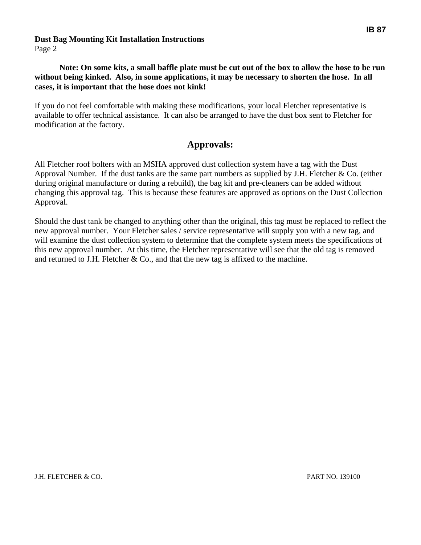#### **Dust Bag Mounting Kit Installation Instructions**

Page 2

#### **Note: On some kits, a small baffle plate must be cut out of the box to allow the hose to be run without being kinked. Also, in some applications, it may be necessary to shorten the hose. In all cases, it is important that the hose does not kink!**

If you do not feel comfortable with making these modifications, your local Fletcher representative is available to offer technical assistance. It can also be arranged to have the dust box sent to Fletcher for modification at the factory.

## **Approvals:**

All Fletcher roof bolters with an MSHA approved dust collection system have a tag with the Dust Approval Number. If the dust tanks are the same part numbers as supplied by J.H. Fletcher & Co. (either during original manufacture or during a rebuild), the bag kit and pre-cleaners can be added without changing this approval tag. This is because these features are approved as options on the Dust Collection Approval.

Should the dust tank be changed to anything other than the original, this tag must be replaced to reflect the new approval number. Your Fletcher sales / service representative will supply you with a new tag, and will examine the dust collection system to determine that the complete system meets the specifications of this new approval number. At this time, the Fletcher representative will see that the old tag is removed and returned to J.H. Fletcher  $& Co.,$  and that the new tag is affixed to the machine.

**IB 87** 

J.H. FLETCHER & CO. PART NO. 139100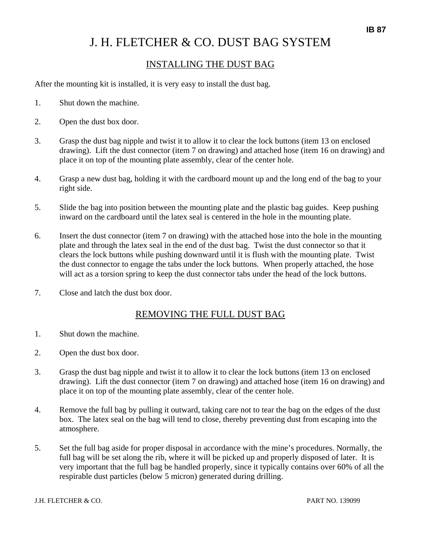## J. H. FLETCHER & CO. DUST BAG SYSTEM

### INSTALLING THE DUST BAG

After the mounting kit is installed, it is very easy to install the dust bag.

- 1. Shut down the machine.
- 2. Open the dust box door.
- 3. Grasp the dust bag nipple and twist it to allow it to clear the lock buttons (item 13 on enclosed drawing). Lift the dust connector (item 7 on drawing) and attached hose (item 16 on drawing) and place it on top of the mounting plate assembly, clear of the center hole.
- 4. Grasp a new dust bag, holding it with the cardboard mount up and the long end of the bag to your right side.
- 5. Slide the bag into position between the mounting plate and the plastic bag guides. Keep pushing inward on the cardboard until the latex seal is centered in the hole in the mounting plate.
- 6. Insert the dust connector (item 7 on drawing) with the attached hose into the hole in the mounting plate and through the latex seal in the end of the dust bag. Twist the dust connector so that it clears the lock buttons while pushing downward until it is flush with the mounting plate. Twist the dust connector to engage the tabs under the lock buttons. When properly attached, the hose will act as a torsion spring to keep the dust connector tabs under the head of the lock buttons.
- 7. Close and latch the dust box door.

#### REMOVING THE FULL DUST BAG

- 1. Shut down the machine.
- 2. Open the dust box door.
- 3. Grasp the dust bag nipple and twist it to allow it to clear the lock buttons (item 13 on enclosed drawing). Lift the dust connector (item 7 on drawing) and attached hose (item 16 on drawing) and place it on top of the mounting plate assembly, clear of the center hole.
- 4. Remove the full bag by pulling it outward, taking care not to tear the bag on the edges of the dust box. The latex seal on the bag will tend to close, thereby preventing dust from escaping into the atmosphere.
- 5. Set the full bag aside for proper disposal in accordance with the mine's procedures. Normally, the full bag will be set along the rib, where it will be picked up and properly disposed of later. It is very important that the full bag be handled properly, since it typically contains over 60% of all the respirable dust particles (below 5 micron) generated during drilling.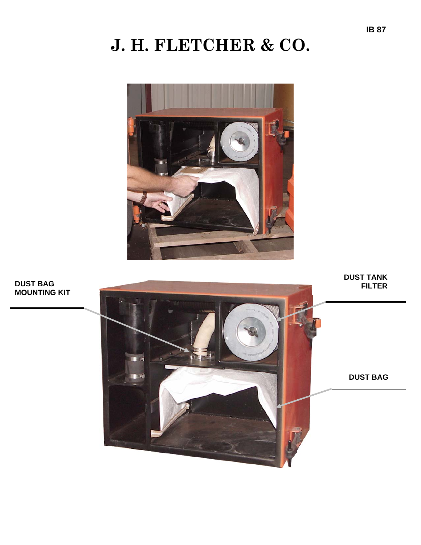# **J. H. FLETCHER & CO.**



**MOUNTING KIT** 

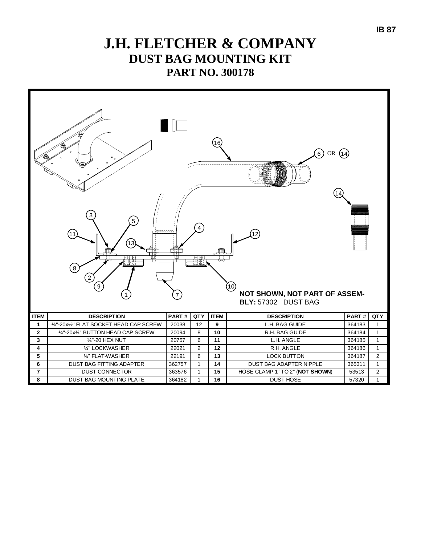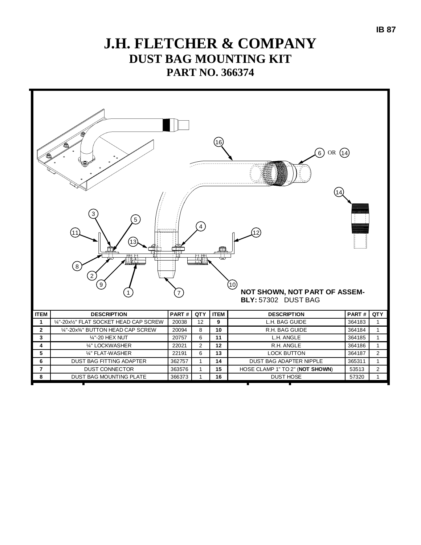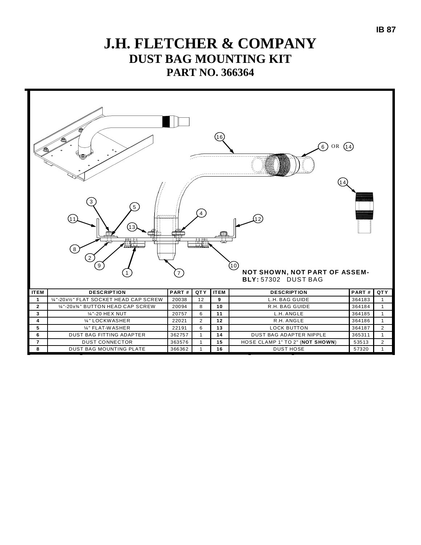